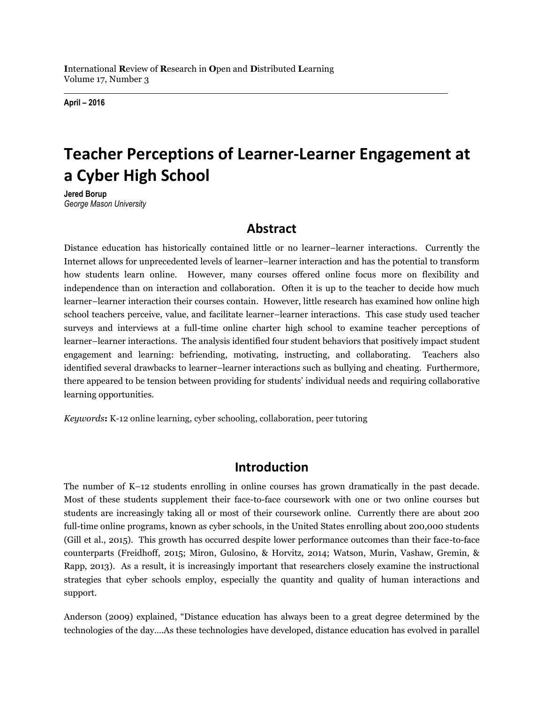**I**nternational **R**eview of **R**esearch in **O**pen and **D**istributed **L**earning Volume 17, Number 3

**April – 2016**

# **Teacher Perceptions of Learner-Learner Engagement at a Cyber High School**

**Jered Borup** *George Mason University* 

## **Abstract**

Distance education has historically contained little or no learner–learner interactions. Currently the Internet allows for unprecedented levels of learner–learner interaction and has the potential to transform how students learn online. However, many courses offered online focus more on flexibility and independence than on interaction and collaboration. Often it is up to the teacher to decide how much learner–learner interaction their courses contain. However, little research has examined how online high school teachers perceive, value, and facilitate learner–learner interactions. This case study used teacher surveys and interviews at a full-time online charter high school to examine teacher perceptions of learner–learner interactions. The analysis identified four student behaviors that positively impact student engagement and learning: befriending, motivating, instructing, and collaborating. Teachers also identified several drawbacks to learner–learner interactions such as bullying and cheating. Furthermore, there appeared to be tension between providing for students' individual needs and requiring collaborative learning opportunities.

*Keywords***:** K-12 online learning, cyber schooling, collaboration, peer tutoring

## **Introduction**

The number of K–12 students enrolling in online courses has grown dramatically in the past decade. Most of these students supplement their face-to-face coursework with one or two online courses but students are increasingly taking all or most of their coursework online. Currently there are about 200 full-time online programs, known as cyber schools, in the United States enrolling about 200,000 students (Gill et al., 2015). This growth has occurred despite lower performance outcomes than their face-to-face counterparts (Freidhoff, 2015; Miron, Gulosino, & Horvitz, 2014; Watson, Murin, Vashaw, Gremin, & Rapp, 2013). As a result, it is increasingly important that researchers closely examine the instructional strategies that cyber schools employ, especially the quantity and quality of human interactions and support.

Anderson (2009) explained, "Distance education has always been to a great degree determined by the technologies of the day….As these technologies have developed, distance education has evolved in parallel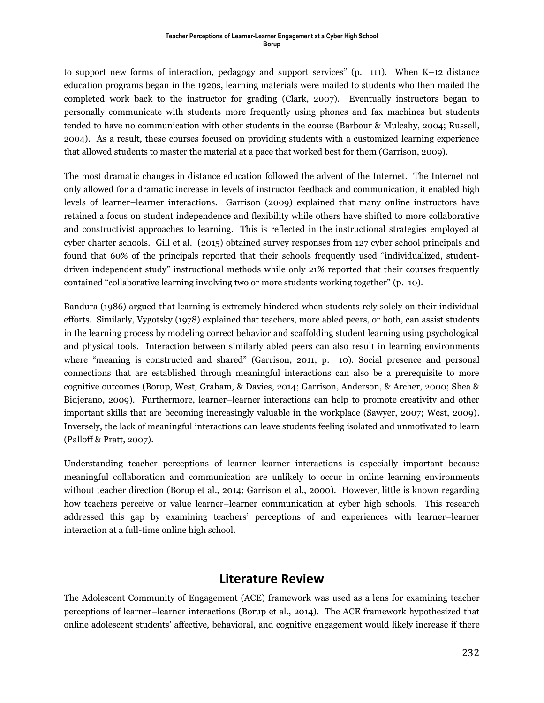to support new forms of interaction, pedagogy and support services" (p. 111). When K–12 distance education programs began in the 1920s, learning materials were mailed to students who then mailed the completed work back to the instructor for grading (Clark, 2007). Eventually instructors began to personally communicate with students more frequently using phones and fax machines but students tended to have no communication with other students in the course (Barbour & Mulcahy, 2004; Russell, 2004). As a result, these courses focused on providing students with a customized learning experience that allowed students to master the material at a pace that worked best for them (Garrison, 2009).

The most dramatic changes in distance education followed the advent of the Internet. The Internet not only allowed for a dramatic increase in levels of instructor feedback and communication, it enabled high levels of learner–learner interactions. Garrison (2009) explained that many online instructors have retained a focus on student independence and flexibility while others have shifted to more collaborative and constructivist approaches to learning. This is reflected in the instructional strategies employed at cyber charter schools. Gill et al. (2015) obtained survey responses from 127 cyber school principals and found that 60% of the principals reported that their schools frequently used "individualized, studentdriven independent study" instructional methods while only 21% reported that their courses frequently contained "collaborative learning involving two or more students working together" (p. 10).

Bandura (1986) argued that learning is extremely hindered when students rely solely on their individual efforts. Similarly, Vygotsky (1978) explained that teachers, more abled peers, or both, can assist students in the learning process by modeling correct behavior and scaffolding student learning using psychological and physical tools. Interaction between similarly abled peers can also result in learning environments where "meaning is constructed and shared" (Garrison, 2011, p. 10). Social presence and personal connections that are established through meaningful interactions can also be a prerequisite to more cognitive outcomes (Borup, West, Graham, & Davies, 2014; Garrison, Anderson, & Archer, 2000; Shea & Bidjerano, 2009). Furthermore, learner–learner interactions can help to promote creativity and other important skills that are becoming increasingly valuable in the workplace (Sawyer, 2007; West, 2009). Inversely, the lack of meaningful interactions can leave students feeling isolated and unmotivated to learn (Palloff & Pratt, 2007).

Understanding teacher perceptions of learner–learner interactions is especially important because meaningful collaboration and communication are unlikely to occur in online learning environments without teacher direction (Borup et al., 2014; Garrison et al., 2000). However, little is known regarding how teachers perceive or value learner–learner communication at cyber high schools. This research addressed this gap by examining teachers' perceptions of and experiences with learner–learner interaction at a full-time online high school.

## **Literature Review**

The Adolescent Community of Engagement (ACE) framework was used as a lens for examining teacher perceptions of learner–learner interactions (Borup et al., 2014). The ACE framework hypothesized that online adolescent students' affective, behavioral, and cognitive engagement would likely increase if there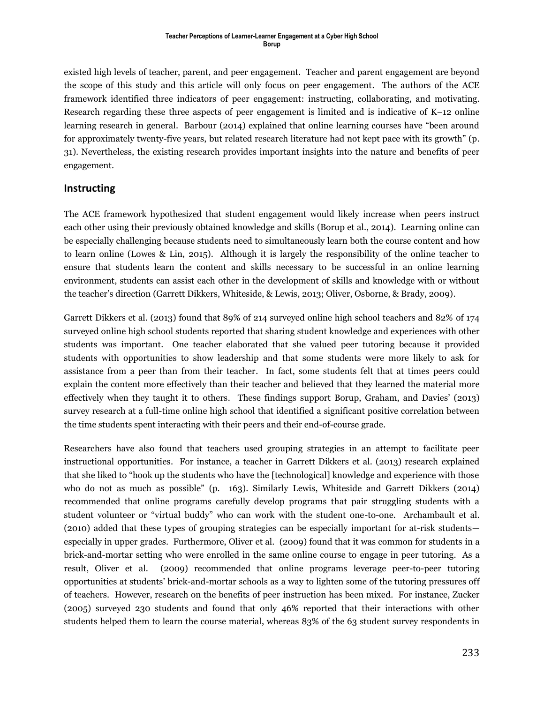existed high levels of teacher, parent, and peer engagement. Teacher and parent engagement are beyond the scope of this study and this article will only focus on peer engagement. The authors of the ACE framework identified three indicators of peer engagement: instructing, collaborating, and motivating. Research regarding these three aspects of peer engagement is limited and is indicative of K–12 online learning research in general. Barbour (2014) explained that online learning courses have "been around for approximately twenty-five years, but related research literature had not kept pace with its growth" (p. 31). Nevertheless, the existing research provides important insights into the nature and benefits of peer engagement.

### **Instructing**

The ACE framework hypothesized that student engagement would likely increase when peers instruct each other using their previously obtained knowledge and skills (Borup et al., 2014). Learning online can be especially challenging because students need to simultaneously learn both the course content and how to learn online (Lowes & Lin, 2015). Although it is largely the responsibility of the online teacher to ensure that students learn the content and skills necessary to be successful in an online learning environment, students can assist each other in the development of skills and knowledge with or without the teacher's direction (Garrett Dikkers, Whiteside, & Lewis, 2013; Oliver, Osborne, & Brady, 2009).

Garrett Dikkers et al. (2013) found that 89% of 214 surveyed online high school teachers and 82% of 174 surveyed online high school students reported that sharing student knowledge and experiences with other students was important. One teacher elaborated that she valued peer tutoring because it provided students with opportunities to show leadership and that some students were more likely to ask for assistance from a peer than from their teacher. In fact, some students felt that at times peers could explain the content more effectively than their teacher and believed that they learned the material more effectively when they taught it to others. These findings support Borup, Graham, and Davies' (2013) survey research at a full-time online high school that identified a significant positive correlation between the time students spent interacting with their peers and their end-of-course grade.

Researchers have also found that teachers used grouping strategies in an attempt to facilitate peer instructional opportunities. For instance, a teacher in Garrett Dikkers et al. (2013) research explained that she liked to "hook up the students who have the [technological] knowledge and experience with those who do not as much as possible" (p. 163). Similarly Lewis, Whiteside and Garrett Dikkers (2014) recommended that online programs carefully develop programs that pair struggling students with a student volunteer or "virtual buddy" who can work with the student one-to-one. Archambault et al. (2010) added that these types of grouping strategies can be especially important for at-risk students especially in upper grades. Furthermore, Oliver et al. (2009) found that it was common for students in a brick-and-mortar setting who were enrolled in the same online course to engage in peer tutoring. As a result, Oliver et al. (2009) recommended that online programs leverage peer-to-peer tutoring opportunities at students' brick-and-mortar schools as a way to lighten some of the tutoring pressures off of teachers. However, research on the benefits of peer instruction has been mixed. For instance, Zucker (2005) surveyed 230 students and found that only 46% reported that their interactions with other students helped them to learn the course material, whereas 83% of the 63 student survey respondents in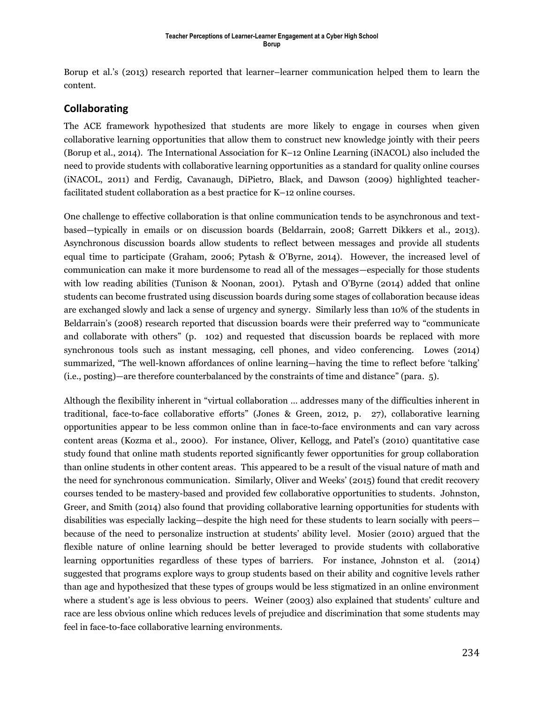Borup et al.'s (2013) research reported that learner–learner communication helped them to learn the content.

### **Collaborating**

The ACE framework hypothesized that students are more likely to engage in courses when given collaborative learning opportunities that allow them to construct new knowledge jointly with their peers (Borup et al., 2014). The International Association for K–12 Online Learning (iNACOL) also included the need to provide students with collaborative learning opportunities as a standard for quality online courses (iNACOL, 2011) and Ferdig, Cavanaugh, DiPietro, Black, and Dawson (2009) highlighted teacherfacilitated student collaboration as a best practice for K–12 online courses.

One challenge to effective collaboration is that online communication tends to be asynchronous and textbased—typically in emails or on discussion boards (Beldarrain, 2008; Garrett Dikkers et al., 2013). Asynchronous discussion boards allow students to reflect between messages and provide all students equal time to participate (Graham, 2006; Pytash & O'Byrne, 2014). However, the increased level of communication can make it more burdensome to read all of the messages—especially for those students with low reading abilities (Tunison & Noonan, 2001). Pytash and O'Byrne (2014) added that online students can become frustrated using discussion boards during some stages of collaboration because ideas are exchanged slowly and lack a sense of urgency and synergy. Similarly less than 10% of the students in Beldarrain's (2008) research reported that discussion boards were their preferred way to "communicate and collaborate with others" (p. 102) and requested that discussion boards be replaced with more synchronous tools such as instant messaging, cell phones, and video conferencing. Lowes (2014) summarized, "The well-known affordances of online learning—having the time to reflect before 'talking' (i.e., posting)—are therefore counterbalanced by the constraints of time and distance" (para. 5).

Although the flexibility inherent in "virtual collaboration … addresses many of the difficulties inherent in traditional, face-to-face collaborative efforts" (Jones & Green, 2012, p. 27), collaborative learning opportunities appear to be less common online than in face-to-face environments and can vary across content areas (Kozma et al., 2000). For instance, Oliver, Kellogg, and Patel's (2010) quantitative case study found that online math students reported significantly fewer opportunities for group collaboration than online students in other content areas. This appeared to be a result of the visual nature of math and the need for synchronous communication. Similarly, Oliver and Weeks' (2015) found that credit recovery courses tended to be mastery-based and provided few collaborative opportunities to students. Johnston, Greer, and Smith (2014) also found that providing collaborative learning opportunities for students with disabilities was especially lacking—despite the high need for these students to learn socially with peers because of the need to personalize instruction at students' ability level. Mosier (2010) argued that the flexible nature of online learning should be better leveraged to provide students with collaborative learning opportunities regardless of these types of barriers. For instance, Johnston et al. (2014) suggested that programs explore ways to group students based on their ability and cognitive levels rather than age and hypothesized that these types of groups would be less stigmatized in an online environment where a student's age is less obvious to peers. Weiner (2003) also explained that students' culture and race are less obvious online which reduces levels of prejudice and discrimination that some students may feel in face-to-face collaborative learning environments.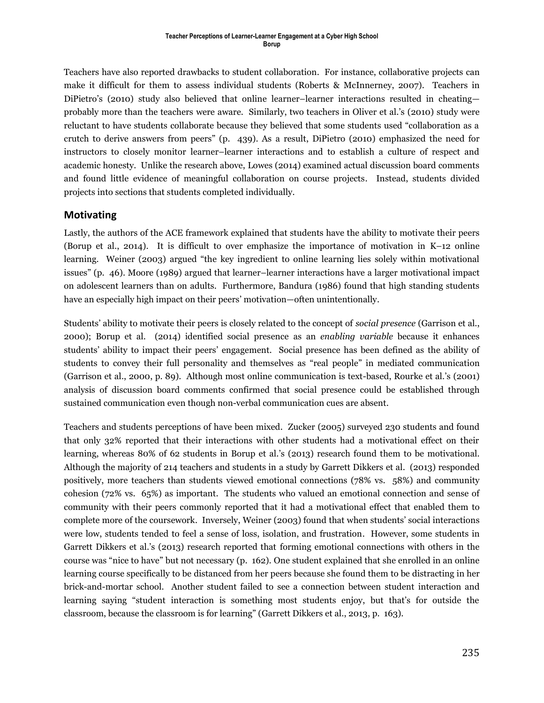Teachers have also reported drawbacks to student collaboration. For instance, collaborative projects can make it difficult for them to assess individual students (Roberts & McInnerney, 2007). Teachers in DiPietro's (2010) study also believed that online learner–learner interactions resulted in cheating probably more than the teachers were aware. Similarly, two teachers in Oliver et al.'s (2010) study were reluctant to have students collaborate because they believed that some students used "collaboration as a crutch to derive answers from peers" (p. 439). As a result, DiPietro (2010) emphasized the need for instructors to closely monitor learner–learner interactions and to establish a culture of respect and academic honesty. Unlike the research above, Lowes (2014) examined actual discussion board comments and found little evidence of meaningful collaboration on course projects. Instead, students divided projects into sections that students completed individually.

### **Motivating**

Lastly, the authors of the ACE framework explained that students have the ability to motivate their peers (Borup et al., 2014). It is difficult to over emphasize the importance of motivation in K–12 online learning. Weiner (2003) argued "the key ingredient to online learning lies solely within motivational issues" (p. 46). Moore (1989) argued that learner–learner interactions have a larger motivational impact on adolescent learners than on adults. Furthermore, Bandura (1986) found that high standing students have an especially high impact on their peers' motivation—often unintentionally.

Students' ability to motivate their peers is closely related to the concept of *social presence* (Garrison et al., 2000); Borup et al. (2014) identified social presence as an *enabling variable* because it enhances students' ability to impact their peers' engagement. Social presence has been defined as the ability of students to convey their full personality and themselves as "real people" in mediated communication (Garrison et al., 2000, p. 89). Although most online communication is text-based, Rourke et al.'s (2001) analysis of discussion board comments confirmed that social presence could be established through sustained communication even though non-verbal communication cues are absent.

Teachers and students perceptions of have been mixed. Zucker (2005) surveyed 230 students and found that only 32% reported that their interactions with other students had a motivational effect on their learning, whereas 80% of 62 students in Borup et al.'s (2013) research found them to be motivational. Although the majority of 214 teachers and students in a study by Garrett Dikkers et al. (2013) responded positively, more teachers than students viewed emotional connections (78% vs. 58%) and community cohesion (72% vs. 65%) as important. The students who valued an emotional connection and sense of community with their peers commonly reported that it had a motivational effect that enabled them to complete more of the coursework. Inversely, Weiner (2003) found that when students' social interactions were low, students tended to feel a sense of loss, isolation, and frustration. However, some students in Garrett Dikkers et al.'s (2013) research reported that forming emotional connections with others in the course was "nice to have" but not necessary (p. 162). One student explained that she enrolled in an online learning course specifically to be distanced from her peers because she found them to be distracting in her brick-and-mortar school. Another student failed to see a connection between student interaction and learning saying "student interaction is something most students enjoy, but that's for outside the classroom, because the classroom is for learning" (Garrett Dikkers et al., 2013, p. 163).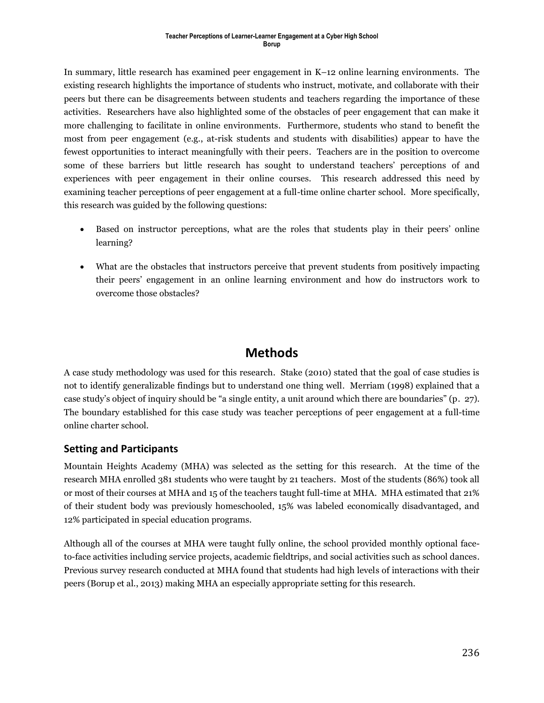In summary, little research has examined peer engagement in K–12 online learning environments. The existing research highlights the importance of students who instruct, motivate, and collaborate with their peers but there can be disagreements between students and teachers regarding the importance of these activities. Researchers have also highlighted some of the obstacles of peer engagement that can make it more challenging to facilitate in online environments. Furthermore, students who stand to benefit the most from peer engagement (e.g., at-risk students and students with disabilities) appear to have the fewest opportunities to interact meaningfully with their peers. Teachers are in the position to overcome some of these barriers but little research has sought to understand teachers' perceptions of and experiences with peer engagement in their online courses. This research addressed this need by examining teacher perceptions of peer engagement at a full-time online charter school. More specifically, this research was guided by the following questions:

- Based on instructor perceptions, what are the roles that students play in their peers' online learning?
- What are the obstacles that instructors perceive that prevent students from positively impacting their peers' engagement in an online learning environment and how do instructors work to overcome those obstacles?

## **Methods**

A case study methodology was used for this research. Stake (2010) stated that the goal of case studies is not to identify generalizable findings but to understand one thing well. Merriam (1998) explained that a case study's object of inquiry should be "a single entity, a unit around which there are boundaries" (p. 27). The boundary established for this case study was teacher perceptions of peer engagement at a full-time online charter school.

### **Setting and Participants**

Mountain Heights Academy (MHA) was selected as the setting for this research. At the time of the research MHA enrolled 381 students who were taught by 21 teachers. Most of the students (86%) took all or most of their courses at MHA and 15 of the teachers taught full-time at MHA. MHA estimated that 21% of their student body was previously homeschooled, 15% was labeled economically disadvantaged, and 12% participated in special education programs.

Although all of the courses at MHA were taught fully online, the school provided monthly optional faceto-face activities including service projects, academic fieldtrips, and social activities such as school dances. Previous survey research conducted at MHA found that students had high levels of interactions with their peers (Borup et al., 2013) making MHA an especially appropriate setting for this research.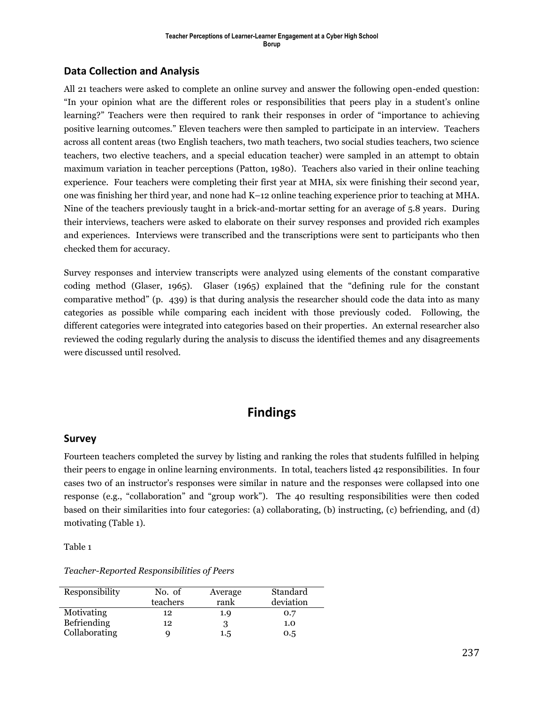### **Data Collection and Analysis**

All 21 teachers were asked to complete an online survey and answer the following open-ended question: "In your opinion what are the different roles or responsibilities that peers play in a student's online learning?" Teachers were then required to rank their responses in order of "importance to achieving positive learning outcomes." Eleven teachers were then sampled to participate in an interview. Teachers across all content areas (two English teachers, two math teachers, two social studies teachers, two science teachers, two elective teachers, and a special education teacher) were sampled in an attempt to obtain maximum variation in teacher perceptions (Patton, 1980). Teachers also varied in their online teaching experience. Four teachers were completing their first year at MHA, six were finishing their second year, one was finishing her third year, and none had K–12 online teaching experience prior to teaching at MHA. Nine of the teachers previously taught in a brick-and-mortar setting for an average of 5.8 years. During their interviews, teachers were asked to elaborate on their survey responses and provided rich examples and experiences. Interviews were transcribed and the transcriptions were sent to participants who then checked them for accuracy.

Survey responses and interview transcripts were analyzed using elements of the constant comparative coding method (Glaser, 1965). Glaser (1965) explained that the "defining rule for the constant comparative method" (p. 439) is that during analysis the researcher should code the data into as many categories as possible while comparing each incident with those previously coded. Following, the different categories were integrated into categories based on their properties. An external researcher also reviewed the coding regularly during the analysis to discuss the identified themes and any disagreements were discussed until resolved.

## **Findings**

### **Survey**

Fourteen teachers completed the survey by listing and ranking the roles that students fulfilled in helping their peers to engage in online learning environments. In total, teachers listed 42 responsibilities. In four cases two of an instructor's responses were similar in nature and the responses were collapsed into one response (e.g., "collaboration" and "group work"). The 40 resulting responsibilities were then coded based on their similarities into four categories: (a) collaborating, (b) instructing, (c) befriending, and (d) motivating (Table 1).

Table 1

### *Teacher-Reported Responsibilities of Peers*

| Responsibility | No. of<br>teachers | Average<br>rank | Standard<br>deviation |
|----------------|--------------------|-----------------|-----------------------|
| Motivating     | 12                 | 1.9             | 0.7                   |
| Befriending    | 12                 | 3               | 1.0                   |
| Collaborating  | y                  | $1.5\,$         | 0.5                   |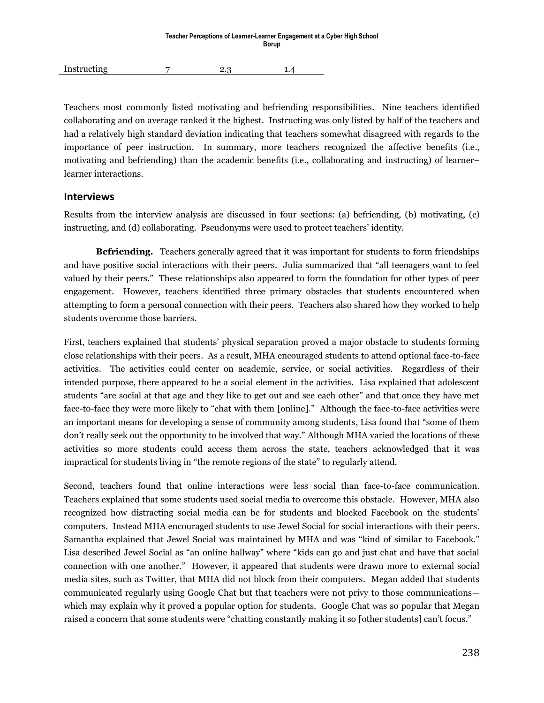Instructing 7 2.3 1.4

Teachers most commonly listed motivating and befriending responsibilities. Nine teachers identified collaborating and on average ranked it the highest. Instructing was only listed by half of the teachers and had a relatively high standard deviation indicating that teachers somewhat disagreed with regards to the importance of peer instruction. In summary, more teachers recognized the affective benefits (i.e., motivating and befriending) than the academic benefits (i.e., collaborating and instructing) of learner– learner interactions.

### **Interviews**

Results from the interview analysis are discussed in four sections: (a) befriending, (b) motivating, (c) instructing, and (d) collaborating. Pseudonyms were used to protect teachers' identity.

**Befriending.** Teachers generally agreed that it was important for students to form friendships and have positive social interactions with their peers. Julia summarized that "all teenagers want to feel valued by their peers." These relationships also appeared to form the foundation for other types of peer engagement. However, teachers identified three primary obstacles that students encountered when attempting to form a personal connection with their peers. Teachers also shared how they worked to help students overcome those barriers.

First, teachers explained that students' physical separation proved a major obstacle to students forming close relationships with their peers. As a result, MHA encouraged students to attend optional face-to-face activities. The activities could center on academic, service, or social activities. Regardless of their intended purpose, there appeared to be a social element in the activities. Lisa explained that adolescent students "are social at that age and they like to get out and see each other" and that once they have met face-to-face they were more likely to "chat with them [online]." Although the face-to-face activities were an important means for developing a sense of community among students, Lisa found that "some of them don't really seek out the opportunity to be involved that way." Although MHA varied the locations of these activities so more students could access them across the state, teachers acknowledged that it was impractical for students living in "the remote regions of the state" to regularly attend.

Second, teachers found that online interactions were less social than face-to-face communication. Teachers explained that some students used social media to overcome this obstacle. However, MHA also recognized how distracting social media can be for students and blocked Facebook on the students' computers. Instead MHA encouraged students to use Jewel Social for social interactions with their peers. Samantha explained that Jewel Social was maintained by MHA and was "kind of similar to Facebook." Lisa described Jewel Social as "an online hallway" where "kids can go and just chat and have that social connection with one another." However, it appeared that students were drawn more to external social media sites, such as Twitter, that MHA did not block from their computers. Megan added that students communicated regularly using Google Chat but that teachers were not privy to those communications which may explain why it proved a popular option for students. Google Chat was so popular that Megan raised a concern that some students were "chatting constantly making it so [other students] can't focus."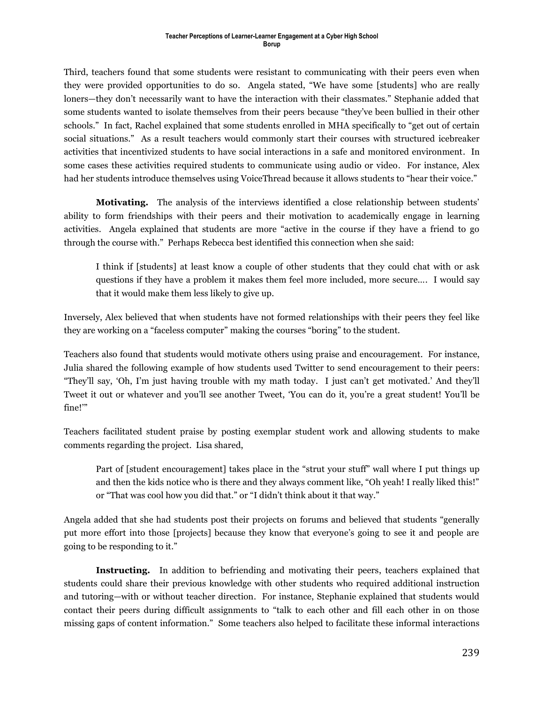Third, teachers found that some students were resistant to communicating with their peers even when they were provided opportunities to do so. Angela stated, "We have some [students] who are really loners—they don't necessarily want to have the interaction with their classmates." Stephanie added that some students wanted to isolate themselves from their peers because "they've been bullied in their other schools." In fact, Rachel explained that some students enrolled in MHA specifically to "get out of certain social situations." As a result teachers would commonly start their courses with structured icebreaker activities that incentivized students to have social interactions in a safe and monitored environment. In some cases these activities required students to communicate using audio or video. For instance, Alex had her students introduce themselves using VoiceThread because it allows students to "hear their voice."

**Motivating.** The analysis of the interviews identified a close relationship between students' ability to form friendships with their peers and their motivation to academically engage in learning activities. Angela explained that students are more "active in the course if they have a friend to go through the course with." Perhaps Rebecca best identified this connection when she said:

I think if [students] at least know a couple of other students that they could chat with or ask questions if they have a problem it makes them feel more included, more secure…. I would say that it would make them less likely to give up.

Inversely, Alex believed that when students have not formed relationships with their peers they feel like they are working on a "faceless computer" making the courses "boring" to the student.

Teachers also found that students would motivate others using praise and encouragement. For instance, Julia shared the following example of how students used Twitter to send encouragement to their peers: "They'll say, 'Oh, I'm just having trouble with my math today. I just can't get motivated.' And they'll Tweet it out or whatever and you'll see another Tweet, 'You can do it, you're a great student! You'll be fine!'"

Teachers facilitated student praise by posting exemplar student work and allowing students to make comments regarding the project. Lisa shared,

Part of [student encouragement] takes place in the "strut your stuff" wall where I put things up and then the kids notice who is there and they always comment like, "Oh yeah! I really liked this!" or "That was cool how you did that." or "I didn't think about it that way."

Angela added that she had students post their projects on forums and believed that students "generally put more effort into those [projects] because they know that everyone's going to see it and people are going to be responding to it."

**Instructing.** In addition to befriending and motivating their peers, teachers explained that students could share their previous knowledge with other students who required additional instruction and tutoring—with or without teacher direction. For instance, Stephanie explained that students would contact their peers during difficult assignments to "talk to each other and fill each other in on those missing gaps of content information." Some teachers also helped to facilitate these informal interactions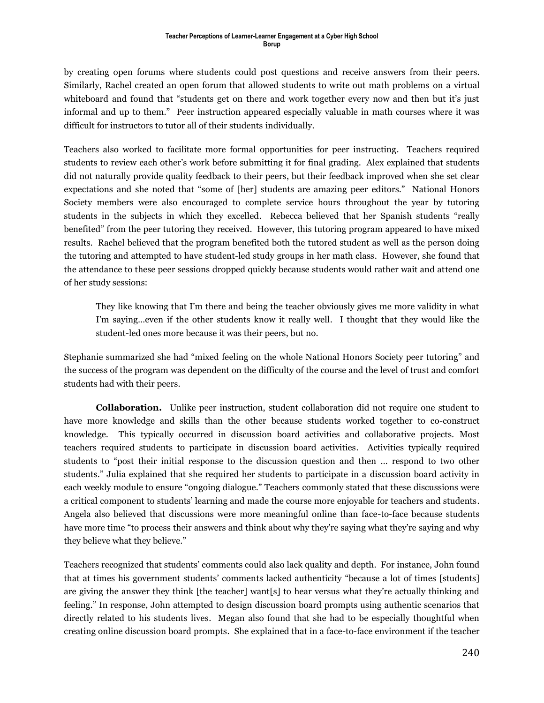by creating open forums where students could post questions and receive answers from their peers. Similarly, Rachel created an open forum that allowed students to write out math problems on a virtual whiteboard and found that "students get on there and work together every now and then but it's just informal and up to them." Peer instruction appeared especially valuable in math courses where it was difficult for instructors to tutor all of their students individually.

Teachers also worked to facilitate more formal opportunities for peer instructing. Teachers required students to review each other's work before submitting it for final grading. Alex explained that students did not naturally provide quality feedback to their peers, but their feedback improved when she set clear expectations and she noted that "some of [her] students are amazing peer editors." National Honors Society members were also encouraged to complete service hours throughout the year by tutoring students in the subjects in which they excelled. Rebecca believed that her Spanish students "really benefited" from the peer tutoring they received. However, this tutoring program appeared to have mixed results. Rachel believed that the program benefited both the tutored student as well as the person doing the tutoring and attempted to have student-led study groups in her math class. However, she found that the attendance to these peer sessions dropped quickly because students would rather wait and attend one of her study sessions:

They like knowing that I'm there and being the teacher obviously gives me more validity in what I'm saying…even if the other students know it really well. I thought that they would like the student-led ones more because it was their peers, but no.

Stephanie summarized she had "mixed feeling on the whole National Honors Society peer tutoring" and the success of the program was dependent on the difficulty of the course and the level of trust and comfort students had with their peers.

**Collaboration.** Unlike peer instruction, student collaboration did not require one student to have more knowledge and skills than the other because students worked together to co-construct knowledge. This typically occurred in discussion board activities and collaborative projects. Most teachers required students to participate in discussion board activities. Activities typically required students to "post their initial response to the discussion question and then … respond to two other students." Julia explained that she required her students to participate in a discussion board activity in each weekly module to ensure "ongoing dialogue." Teachers commonly stated that these discussions were a critical component to students' learning and made the course more enjoyable for teachers and students. Angela also believed that discussions were more meaningful online than face-to-face because students have more time "to process their answers and think about why they're saying what they're saying and why they believe what they believe."

Teachers recognized that students' comments could also lack quality and depth. For instance, John found that at times his government students' comments lacked authenticity "because a lot of times [students] are giving the answer they think [the teacher] want[s] to hear versus what they're actually thinking and feeling." In response, John attempted to design discussion board prompts using authentic scenarios that directly related to his students lives. Megan also found that she had to be especially thoughtful when creating online discussion board prompts. She explained that in a face-to-face environment if the teacher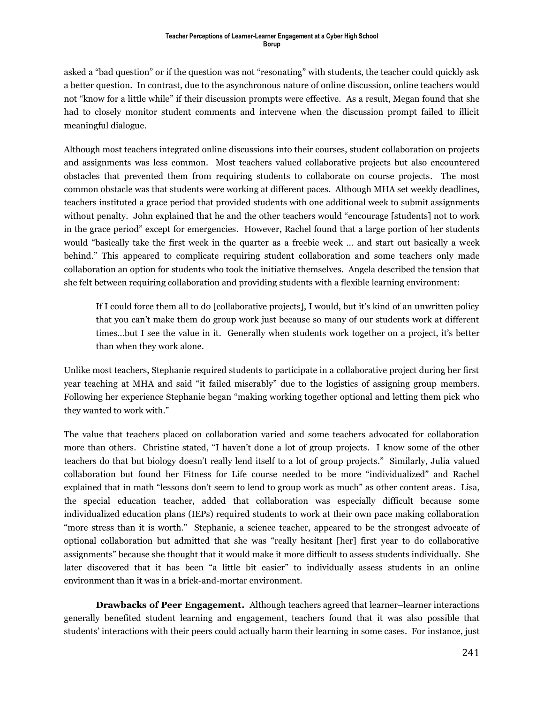asked a "bad question" or if the question was not "resonating" with students, the teacher could quickly ask a better question. In contrast, due to the asynchronous nature of online discussion, online teachers would not "know for a little while" if their discussion prompts were effective. As a result, Megan found that she had to closely monitor student comments and intervene when the discussion prompt failed to illicit meaningful dialogue.

Although most teachers integrated online discussions into their courses, student collaboration on projects and assignments was less common. Most teachers valued collaborative projects but also encountered obstacles that prevented them from requiring students to collaborate on course projects. The most common obstacle was that students were working at different paces. Although MHA set weekly deadlines, teachers instituted a grace period that provided students with one additional week to submit assignments without penalty. John explained that he and the other teachers would "encourage [students] not to work in the grace period" except for emergencies. However, Rachel found that a large portion of her students would "basically take the first week in the quarter as a freebie week … and start out basically a week behind." This appeared to complicate requiring student collaboration and some teachers only made collaboration an option for students who took the initiative themselves. Angela described the tension that she felt between requiring collaboration and providing students with a flexible learning environment:

If I could force them all to do [collaborative projects], I would, but it's kind of an unwritten policy that you can't make them do group work just because so many of our students work at different times…but I see the value in it. Generally when students work together on a project, it's better than when they work alone.

Unlike most teachers, Stephanie required students to participate in a collaborative project during her first year teaching at MHA and said "it failed miserably" due to the logistics of assigning group members. Following her experience Stephanie began "making working together optional and letting them pick who they wanted to work with."

The value that teachers placed on collaboration varied and some teachers advocated for collaboration more than others. Christine stated, "I haven't done a lot of group projects. I know some of the other teachers do that but biology doesn't really lend itself to a lot of group projects." Similarly, Julia valued collaboration but found her Fitness for Life course needed to be more "individualized" and Rachel explained that in math "lessons don't seem to lend to group work as much" as other content areas. Lisa, the special education teacher, added that collaboration was especially difficult because some individualized education plans (IEPs) required students to work at their own pace making collaboration "more stress than it is worth." Stephanie, a science teacher, appeared to be the strongest advocate of optional collaboration but admitted that she was "really hesitant [her] first year to do collaborative assignments" because she thought that it would make it more difficult to assess students individually. She later discovered that it has been "a little bit easier" to individually assess students in an online environment than it was in a brick-and-mortar environment.

**Drawbacks of Peer Engagement.** Although teachers agreed that learner–learner interactions generally benefited student learning and engagement, teachers found that it was also possible that students' interactions with their peers could actually harm their learning in some cases. For instance, just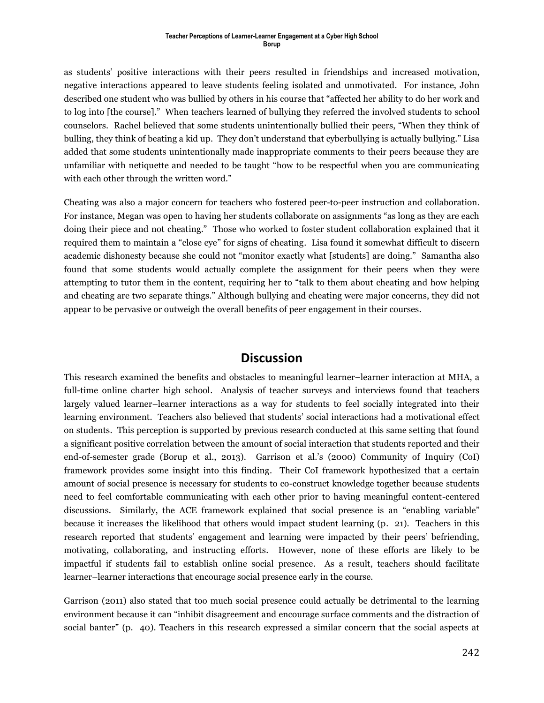as students' positive interactions with their peers resulted in friendships and increased motivation, negative interactions appeared to leave students feeling isolated and unmotivated. For instance, John described one student who was bullied by others in his course that "affected her ability to do her work and to log into [the course]." When teachers learned of bullying they referred the involved students to school counselors. Rachel believed that some students unintentionally bullied their peers, "When they think of bulling, they think of beating a kid up. They don't understand that cyberbullying is actually bullying." Lisa added that some students unintentionally made inappropriate comments to their peers because they are unfamiliar with netiquette and needed to be taught "how to be respectful when you are communicating with each other through the written word."

Cheating was also a major concern for teachers who fostered peer-to-peer instruction and collaboration. For instance, Megan was open to having her students collaborate on assignments "as long as they are each doing their piece and not cheating." Those who worked to foster student collaboration explained that it required them to maintain a "close eye" for signs of cheating. Lisa found it somewhat difficult to discern academic dishonesty because she could not "monitor exactly what [students] are doing." Samantha also found that some students would actually complete the assignment for their peers when they were attempting to tutor them in the content, requiring her to "talk to them about cheating and how helping and cheating are two separate things." Although bullying and cheating were major concerns, they did not appear to be pervasive or outweigh the overall benefits of peer engagement in their courses.

## **Discussion**

This research examined the benefits and obstacles to meaningful learner–learner interaction at MHA, a full-time online charter high school. Analysis of teacher surveys and interviews found that teachers largely valued learner–learner interactions as a way for students to feel socially integrated into their learning environment. Teachers also believed that students' social interactions had a motivational effect on students. This perception is supported by previous research conducted at this same setting that found a significant positive correlation between the amount of social interaction that students reported and their end-of-semester grade (Borup et al., 2013). Garrison et al.'s (2000) Community of Inquiry (CoI) framework provides some insight into this finding. Their CoI framework hypothesized that a certain amount of social presence is necessary for students to co-construct knowledge together because students need to feel comfortable communicating with each other prior to having meaningful content-centered discussions. Similarly, the ACE framework explained that social presence is an "enabling variable" because it increases the likelihood that others would impact student learning (p. 21). Teachers in this research reported that students' engagement and learning were impacted by their peers' befriending, motivating, collaborating, and instructing efforts. However, none of these efforts are likely to be impactful if students fail to establish online social presence. As a result, teachers should facilitate learner–learner interactions that encourage social presence early in the course.

Garrison (2011) also stated that too much social presence could actually be detrimental to the learning environment because it can "inhibit disagreement and encourage surface comments and the distraction of social banter" (p. 40). Teachers in this research expressed a similar concern that the social aspects at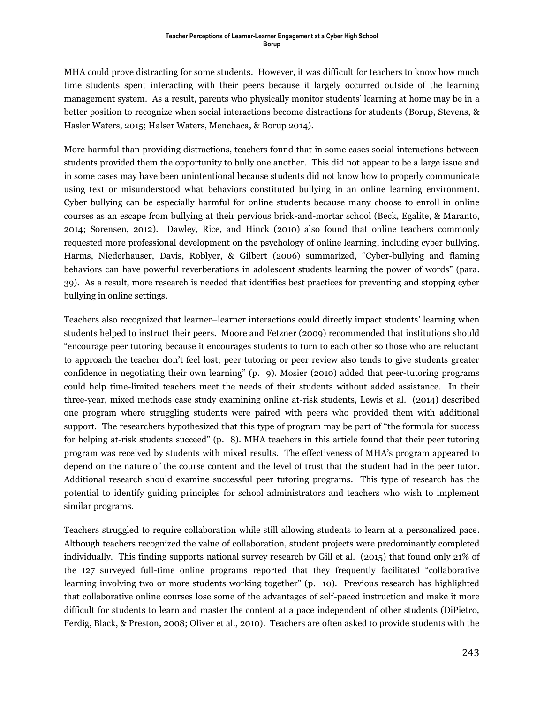MHA could prove distracting for some students. However, it was difficult for teachers to know how much time students spent interacting with their peers because it largely occurred outside of the learning management system. As a result, parents who physically monitor students' learning at home may be in a better position to recognize when social interactions become distractions for students (Borup, Stevens, & Hasler Waters, 2015; Halser Waters, Menchaca, & Borup 2014).

More harmful than providing distractions, teachers found that in some cases social interactions between students provided them the opportunity to bully one another. This did not appear to be a large issue and in some cases may have been unintentional because students did not know how to properly communicate using text or misunderstood what behaviors constituted bullying in an online learning environment. Cyber bullying can be especially harmful for online students because many choose to enroll in online courses as an escape from bullying at their pervious brick-and-mortar school (Beck, Egalite, & Maranto, 2014; Sorensen, 2012). Dawley, Rice, and Hinck (2010) also found that online teachers commonly requested more professional development on the psychology of online learning, including cyber bullying. Harms, Niederhauser, Davis, Roblyer, & Gilbert (2006) summarized, "Cyber-bullying and flaming behaviors can have powerful reverberations in adolescent students learning the power of words" (para. 39). As a result, more research is needed that identifies best practices for preventing and stopping cyber bullying in online settings.

Teachers also recognized that learner–learner interactions could directly impact students' learning when students helped to instruct their peers. Moore and Fetzner (2009) recommended that institutions should "encourage peer tutoring because it encourages students to turn to each other so those who are reluctant to approach the teacher don't feel lost; peer tutoring or peer review also tends to give students greater confidence in negotiating their own learning" (p. 9). Mosier (2010) added that peer-tutoring programs could help time-limited teachers meet the needs of their students without added assistance. In their three-year, mixed methods case study examining online at-risk students, Lewis et al. (2014) described one program where struggling students were paired with peers who provided them with additional support. The researchers hypothesized that this type of program may be part of "the formula for success for helping at-risk students succeed" (p. 8). MHA teachers in this article found that their peer tutoring program was received by students with mixed results. The effectiveness of MHA's program appeared to depend on the nature of the course content and the level of trust that the student had in the peer tutor. Additional research should examine successful peer tutoring programs. This type of research has the potential to identify guiding principles for school administrators and teachers who wish to implement similar programs.

Teachers struggled to require collaboration while still allowing students to learn at a personalized pace. Although teachers recognized the value of collaboration, student projects were predominantly completed individually. This finding supports national survey research by Gill et al. (2015) that found only 21% of the 127 surveyed full-time online programs reported that they frequently facilitated "collaborative learning involving two or more students working together" (p. 10). Previous research has highlighted that collaborative online courses lose some of the advantages of self-paced instruction and make it more difficult for students to learn and master the content at a pace independent of other students (DiPietro, Ferdig, Black, & Preston, 2008; Oliver et al., 2010). Teachers are often asked to provide students with the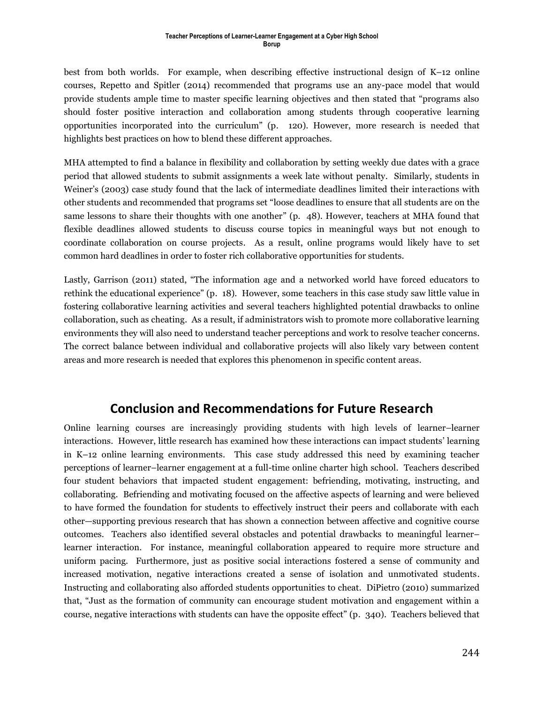best from both worlds. For example, when describing effective instructional design of K–12 online courses, Repetto and Spitler (2014) recommended that programs use an any-pace model that would provide students ample time to master specific learning objectives and then stated that "programs also should foster positive interaction and collaboration among students through cooperative learning opportunities incorporated into the curriculum" (p. 120). However, more research is needed that highlights best practices on how to blend these different approaches.

MHA attempted to find a balance in flexibility and collaboration by setting weekly due dates with a grace period that allowed students to submit assignments a week late without penalty. Similarly, students in Weiner's (2003) case study found that the lack of intermediate deadlines limited their interactions with other students and recommended that programs set "loose deadlines to ensure that all students are on the same lessons to share their thoughts with one another" (p. 48). However, teachers at MHA found that flexible deadlines allowed students to discuss course topics in meaningful ways but not enough to coordinate collaboration on course projects. As a result, online programs would likely have to set common hard deadlines in order to foster rich collaborative opportunities for students.

Lastly, Garrison (2011) stated, "The information age and a networked world have forced educators to rethink the educational experience" (p. 18). However, some teachers in this case study saw little value in fostering collaborative learning activities and several teachers highlighted potential drawbacks to online collaboration, such as cheating. As a result, if administrators wish to promote more collaborative learning environments they will also need to understand teacher perceptions and work to resolve teacher concerns. The correct balance between individual and collaborative projects will also likely vary between content areas and more research is needed that explores this phenomenon in specific content areas.

## **Conclusion and Recommendations for Future Research**

Online learning courses are increasingly providing students with high levels of learner–learner interactions. However, little research has examined how these interactions can impact students' learning in K–12 online learning environments. This case study addressed this need by examining teacher perceptions of learner–learner engagement at a full-time online charter high school. Teachers described four student behaviors that impacted student engagement: befriending, motivating, instructing, and collaborating. Befriending and motivating focused on the affective aspects of learning and were believed to have formed the foundation for students to effectively instruct their peers and collaborate with each other—supporting previous research that has shown a connection between affective and cognitive course outcomes. Teachers also identified several obstacles and potential drawbacks to meaningful learner– learner interaction. For instance, meaningful collaboration appeared to require more structure and uniform pacing. Furthermore, just as positive social interactions fostered a sense of community and increased motivation, negative interactions created a sense of isolation and unmotivated students. Instructing and collaborating also afforded students opportunities to cheat. DiPietro (2010) summarized that, "Just as the formation of community can encourage student motivation and engagement within a course, negative interactions with students can have the opposite effect" (p. 340). Teachers believed that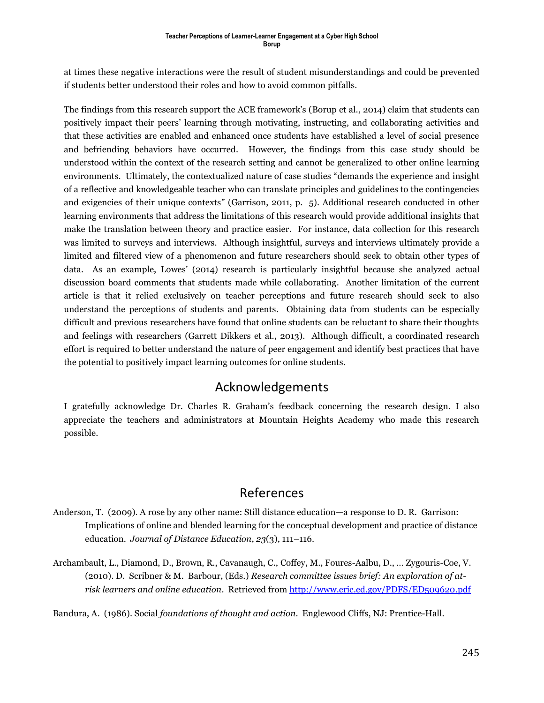at times these negative interactions were the result of student misunderstandings and could be prevented if students better understood their roles and how to avoid common pitfalls.

The findings from this research support the ACE framework's (Borup et al., 2014) claim that students can positively impact their peers' learning through motivating, instructing, and collaborating activities and that these activities are enabled and enhanced once students have established a level of social presence and befriending behaviors have occurred. However, the findings from this case study should be understood within the context of the research setting and cannot be generalized to other online learning environments. Ultimately, the contextualized nature of case studies "demands the experience and insight of a reflective and knowledgeable teacher who can translate principles and guidelines to the contingencies and exigencies of their unique contexts" (Garrison, 2011, p. 5). Additional research conducted in other learning environments that address the limitations of this research would provide additional insights that make the translation between theory and practice easier. For instance, data collection for this research was limited to surveys and interviews. Although insightful, surveys and interviews ultimately provide a limited and filtered view of a phenomenon and future researchers should seek to obtain other types of data. As an example, Lowes' (2014) research is particularly insightful because she analyzed actual discussion board comments that students made while collaborating. Another limitation of the current article is that it relied exclusively on teacher perceptions and future research should seek to also understand the perceptions of students and parents. Obtaining data from students can be especially difficult and previous researchers have found that online students can be reluctant to share their thoughts and feelings with researchers (Garrett Dikkers et al., 2013). Although difficult, a coordinated research effort is required to better understand the nature of peer engagement and identify best practices that have the potential to positively impact learning outcomes for online students.

## Acknowledgements

I gratefully acknowledge Dr. Charles R. Graham's feedback concerning the research design. I also appreciate the teachers and administrators at Mountain Heights Academy who made this research possible.

## References

- Anderson, T. (2009). A rose by any other name: Still distance education—a response to D. R. Garrison: Implications of online and blended learning for the conceptual development and practice of distance education. *Journal of Distance Education*, *23*(3), 111–116.
- Archambault, L., Diamond, D., Brown, R., Cavanaugh, C., Coffey, M., Foures-Aalbu, D., … Zygouris-Coe, V. (2010). D. Scribner & M. Barbour, (Eds.) *Research committee issues brief: An exploration of atrisk learners and online education*. Retrieved from<http://www.eric.ed.gov/PDFS/ED509620.pdf>

Bandura, A. (1986). Social *foundations of thought and action*. Englewood Cliffs, NJ: Prentice-Hall.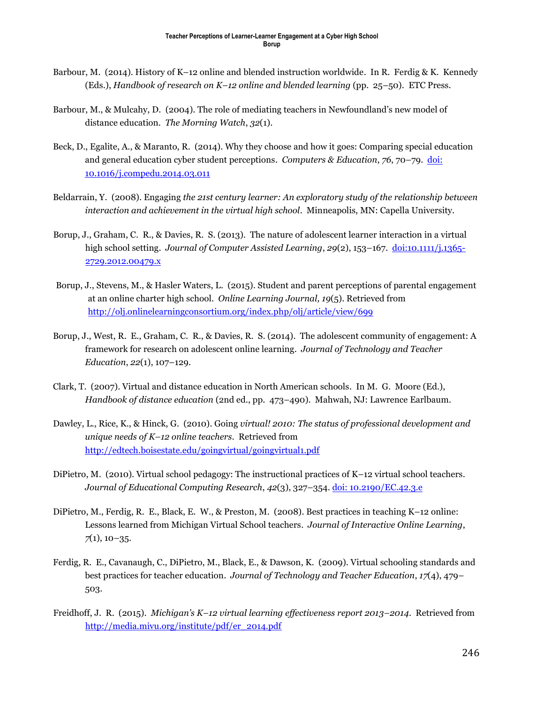- Barbour, M. (2014). History of K–12 online and blended instruction worldwide. In R. Ferdig & K. Kennedy (Eds.), *Handbook of research on K–12 online and blended learning* (pp. 25–50). ETC Press.
- Barbour, M., & Mulcahy, D. (2004). The role of mediating teachers in Newfoundland's new model of distance education. *The Morning Watch*, *32*(1).
- Beck, D., Egalite, A., & Maranto, R. (2014). Why they choose and how it goes: Comparing special education and general education cyber student perceptions. *Computers & Education*, *76*, 70–79. [doi:](doi:%2010.1016/j.compedu.2014.03.011) [10.1016/j.compedu.2014.03.011](doi:%2010.1016/j.compedu.2014.03.011)
- Beldarrain, Y. (2008). Engaging *the 21st century learner: An exploratory study of the relationship between interaction and achievement in the virtual high school*. Minneapolis, MN: Capella University.
- Borup, J., Graham, C. R., & Davies, R. S. (2013). The nature of adolescent learner interaction in a virtual high school setting. *Journal of Computer Assisted Learning*, *29*(2), 153–167. [doi:10.1111/j.1365-](doi:10.1111/j.1365-2729.2012.00479.x) [2729.2012.00479.x](doi:10.1111/j.1365-2729.2012.00479.x)
- Borup, J., Stevens, M., & Hasler Waters, L. (2015). Student and parent perceptions of parental engagement at an online charter high school. *Online Learning Journal, 19*(5). Retrieved from <http://olj.onlinelearningconsortium.org/index.php/olj/article/view/699>
- Borup, J., West, R. E., Graham, C. R., & Davies, R. S. (2014). The adolescent community of engagement: A framework for research on adolescent online learning. *Journal of Technology and Teacher Education*, *22*(1), 107–129.
- Clark, T. (2007). Virtual and distance education in North American schools. In M. G. Moore (Ed.), *Handbook of distance education* (2nd ed., pp. 473–490). Mahwah, NJ: Lawrence Earlbaum.
- Dawley, L., Rice, K., & Hinck, G. (2010). Going *virtual! 2010: The status of professional development and unique needs of K–12 online teachers*. Retrieved from <http://edtech.boisestate.edu/goingvirtual/goingvirtual1.pdf>
- DiPietro, M. (2010). Virtual school pedagogy: The instructional practices of K–12 virtual school teachers. *Journal of Educational Computing Research*, *42*(3), 327–354. [doi: 10.2190/EC.42.3.e](doi:%2010.2190/EC.42.3.e)
- DiPietro, M., Ferdig, R. E., Black, E. W., & Preston, M. (2008). Best practices in teaching K–12 online: Lessons learned from Michigan Virtual School teachers. *Journal of Interactive Online Learning*, *7*(1), 10–35.
- Ferdig, R. E., Cavanaugh, C., DiPietro, M., Black, E., & Dawson, K. (2009). Virtual schooling standards and best practices for teacher education. *Journal of Technology and Teacher Education*, *17*(4), 479– 503.
- Freidhoff, J. R. (2015). *Michigan's K–12 virtual learning effectiveness report 2013–2014*. Retrieved from [http://media.mivu.org/institute/pdf/er\\_2014.pdf](http://media.mivu.org/institute/pdf/er_2014.pdf)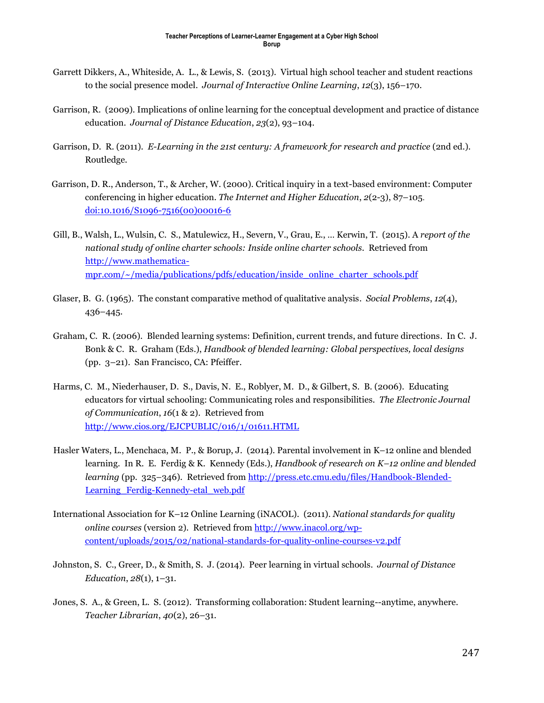- Garrett Dikkers, A., Whiteside, A. L., & Lewis, S. (2013). Virtual high school teacher and student reactions to the social presence model. *Journal of Interactive Online Learning*, *12*(3), 156–170.
- Garrison, R. (2009). Implications of online learning for the conceptual development and practice of distance education. *Journal of Distance Education*, *23*(2), 93–104.
- Garrison, D. R. (2011). *E-Learning in the 21st century: A framework for research and practice* (2nd ed.). Routledge.
- Garrison, D. R., Anderson, T., & Archer, W. (2000). Critical inquiry in a text-based environment: Computer conferencing in higher education. *The Internet and Higher Education*, *2*(2-3), 87–105. [doi:10.1016/S1096-7516\(00\)00016-6](doi:10.1016/S1096-7516(00)00016-6)
- Gill, B., Walsh, L., Wulsin, C. S., Matulewicz, H., Severn, V., Grau, E., … Kerwin, T. (2015). A *report of the national study of online charter schools: Inside online charter schools*. Retrieved from [http://www.mathematica](http://www.mathematica-mpr.com/~/media/publications/pdfs/education/inside_online_charter_schools.pdf)[mpr.com/~/media/publications/pdfs/education/inside\\_online\\_charter\\_schools.pdf](http://www.mathematica-mpr.com/~/media/publications/pdfs/education/inside_online_charter_schools.pdf)
- Glaser, B. G. (1965). The constant comparative method of qualitative analysis. *Social Problems*, *12*(4), 436–445.
- Graham, C. R. (2006). Blended learning systems: Definition, current trends, and future directions. In C. J. Bonk & C. R. Graham (Eds.), *Handbook of blended learning: Global perspectives, local designs* (pp. 3–21). San Francisco, CA: Pfeiffer.
- Harms, C. M., Niederhauser, D. S., Davis, N. E., Roblyer, M. D., & Gilbert, S. B. (2006). Educating educators for virtual schooling: Communicating roles and responsibilities. *The Electronic Journal of Communication*, *16*(1 & 2). Retrieved from <http://www.cios.org/EJCPUBLIC/016/1/01611.HTML>
- Hasler Waters, L., Menchaca, M. P., & Borup, J. (2014). Parental involvement in K–12 online and blended learning. In R. E. Ferdig & K. Kennedy (Eds.), *Handbook of research on K–12 online and blended learning* (pp. 325–346). Retrieved from [http://press.etc.cmu.edu/files/Handbook-Blended-](http://press.etc.cmu.edu/files/Handbook-Blended-Learning_Ferdig-Kennedy-etal_web.pdf)[Learning\\_Ferdig-Kennedy-etal\\_web.pdf](http://press.etc.cmu.edu/files/Handbook-Blended-Learning_Ferdig-Kennedy-etal_web.pdf)
- International Association for K–12 Online Learning (iNACOL). (2011). *National standards for quality online courses* (version 2). Retrieved fro[m http://www.inacol.org/wp](http://www.inacol.org/wp-content/uploads/2015/02/national-standards-for-quality-online-courses-v2.pdf)[content/uploads/2015/02/national-standards-for-quality-online-courses-v2.pdf](http://www.inacol.org/wp-content/uploads/2015/02/national-standards-for-quality-online-courses-v2.pdf)
- Johnston, S. C., Greer, D., & Smith, S. J. (2014). Peer learning in virtual schools. *Journal of Distance Education*, *28*(1), 1–31.
- Jones, S. A., & Green, L. S. (2012). Transforming collaboration: Student learning--anytime, anywhere. *Teacher Librarian*, *40*(2), 26–31.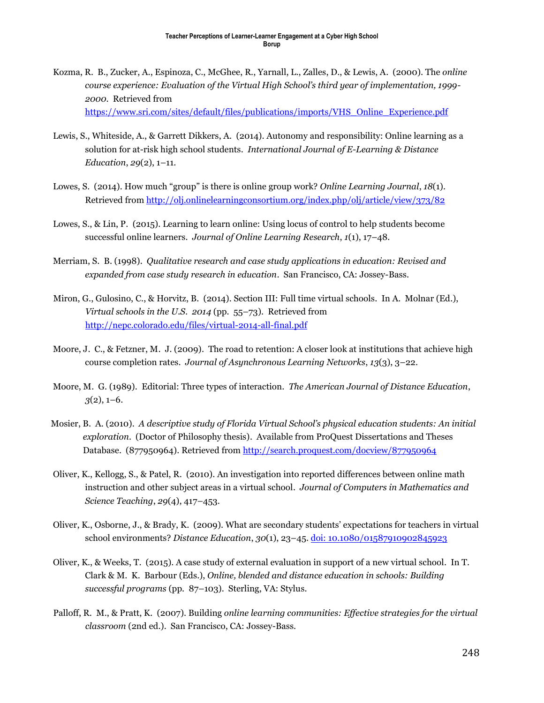- Kozma, R. B., Zucker, A., Espinoza, C., McGhee, R., Yarnall, L., Zalles, D., & Lewis, A. (2000). The *online course experience: Evaluation of the Virtual High School's third year of implementation, 1999- 2000*. Retrieved from [https://www.sri.com/sites/default/files/publications/imports/VHS\\_Online\\_Experience.pdf](https://www.sri.com/sites/default/files/publications/imports/VHS_Online_Experience.pdf)
- Lewis, S., Whiteside, A., & Garrett Dikkers, A. (2014). Autonomy and responsibility: Online learning as a solution for at-risk high school students. *International Journal of E-Learning & Distance Education*, *29*(2), 1–11.
- Lowes, S. (2014). How much "group" is there is online group work? *Online Learning Journal*, *18*(1). Retrieved from<http://olj.onlinelearningconsortium.org/index.php/olj/article/view/373/82>
- Lowes, S., & Lin, P. (2015). Learning to learn online: Using locus of control to help students become successful online learners. *Journal of Online Learning Research*, *1*(1), 17–48.
- Merriam, S. B. (1998). *Qualitative research and case study applications in education: Revised and expanded from case study research in education*. San Francisco, CA: Jossey-Bass.
- Miron, G., Gulosino, C., & Horvitz, B. (2014). Section III: Full time virtual schools. In A. Molnar (Ed.), *Virtual schools in the U.S. 2014* (pp. 55–73). Retrieved from <http://nepc.colorado.edu/files/virtual-2014-all-final.pdf>
- Moore, J. C., & Fetzner, M. J. (2009). The road to retention: A closer look at institutions that achieve high course completion rates. *Journal of Asynchronous Learning Networks*, *13*(3), 3–22.
- Moore, M. G. (1989). Editorial: Three types of interaction. *The American Journal of Distance Education*, *3*(2), 1–6.
- Mosier, B. A. (2010). *A descriptive study of Florida Virtual School's physical education students: An initial exploration*. (Doctor of Philosophy thesis). Available from ProQuest Dissertations and Theses Database. (877950964). Retrieved fro[m http://search.proquest.com/docview/877950964](http://search.proquest.com/docview/877950964)
- Oliver, K., Kellogg, S., & Patel, R. (2010). An investigation into reported differences between online math instruction and other subject areas in a virtual school. *Journal of Computers in Mathematics and Science Teaching*, *29*(4), 417–453.
- Oliver, K., Osborne, J., & Brady, K. (2009). What are secondary students' expectations for teachers in virtual school environments? *Distance Education*, *30*(1), 23–45. [doi: 10.1080/01587910902845923](doi:%2010.1080/01587910902845923)
- Oliver, K., & Weeks, T. (2015). A case study of external evaluation in support of a new virtual school. In T. Clark & M. K. Barbour (Eds.), *Online, blended and distance education in schools: Building successful programs* (pp. 87–103). Sterling, VA: Stylus.
- Palloff, R. M., & Pratt, K. (2007). Building *online learning communities: Effective strategies for the virtual classroom* (2nd ed.). San Francisco, CA: Jossey-Bass.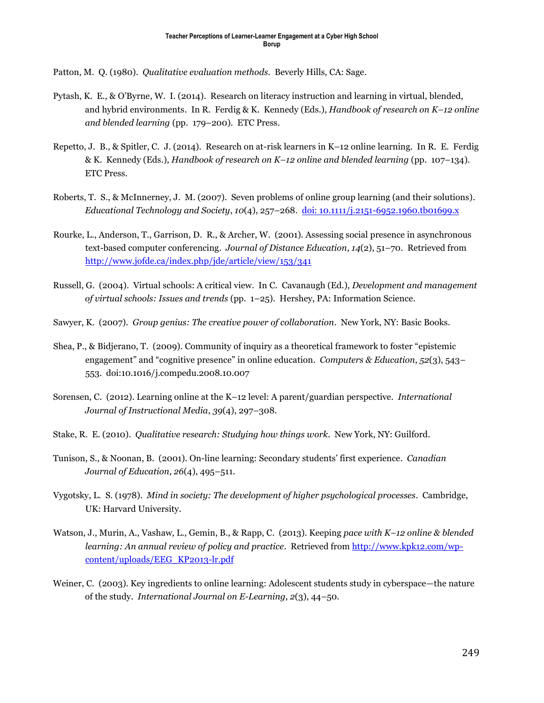Patton, M. Q. (1980). *Qualitative evaluation methods*. Beverly Hills, CA: Sage.

- Pytash, K. E., & O'Byrne, W. I. (2014). Research on literacy instruction and learning in virtual, blended, and hybrid environments. In R. Ferdig & K. Kennedy (Eds.), *Handbook of research on K–12 online and blended learning* (pp. 179–200). ETC Press.
- Repetto, J. B., & Spitler, C. J. (2014). Research on at-risk learners in K–12 online learning. In R. E. Ferdig & K. Kennedy (Eds.), *Handbook of research on K–12 online and blended learning* (pp. 107–134). ETC Press.
- Roberts, T. S., & McInnerney, J. M. (2007). Seven problems of online group learning (and their solutions). *Educational Technology and Society*, *10*(4), 257–268. [doi: 10.1111/j.2151-6952.1960.tb01699.x](doi:%2010.1111/j.2151-6952.1960.tb01699.x)
- Rourke, L., Anderson, T., Garrison, D. R., & Archer, W. (2001). Assessing social presence in asynchronous text-based computer conferencing. *Journal of Distance Education*, *14*(2), 51–70. Retrieved from <http://www.jofde.ca/index.php/jde/article/view/153/341>
- Russell, G. (2004). Virtual schools: A critical view. In C. Cavanaugh (Ed.), *Development and management of virtual schools: Issues and trends* (pp. 1–25). Hershey, PA: Information Science.
- Sawyer, K. (2007). *Group genius: The creative power of collaboration*. New York, NY: Basic Books.
- Shea, P., & Bidjerano, T. (2009). Community of inquiry as a theoretical framework to foster "epistemic engagement" and "cognitive presence" in online education. *Computers & Education*, *52*(3), 543– 553. doi:10.1016/j.compedu.2008.10.007
- Sorensen, C. (2012). Learning online at the K–12 level: A parent/guardian perspective. *International Journal of Instructional Media*, *39*(4), 297–308.
- Stake, R. E. (2010). *Qualitative research: Studying how things work*. New York, NY: Guilford.
- Tunison, S., & Noonan, B. (2001). On-line learning: Secondary students' first experience. *Canadian Journal of Education*, *26*(4), 495–511.
- Vygotsky, L. S. (1978). *Mind in society: The development of higher psychological processes*. Cambridge, UK: Harvard University.
- Watson, J., Murin, A., Vashaw, L., Gemin, B., & Rapp, C. (2013). Keeping *pace with K–12 online & blended learning: An annual review of policy and practice*. Retrieved from [http://www.kpk12.com/wp](http://www.kpk12.com/wp-content/uploads/EEG_KP2013-lr.pdf)[content/uploads/EEG\\_KP2013-lr.pdf](http://www.kpk12.com/wp-content/uploads/EEG_KP2013-lr.pdf)
- Weiner, C. (2003). Key ingredients to online learning: Adolescent students study in cyberspace—the nature of the study. *International Journal on E-Learning*, *2*(3), 44–50.